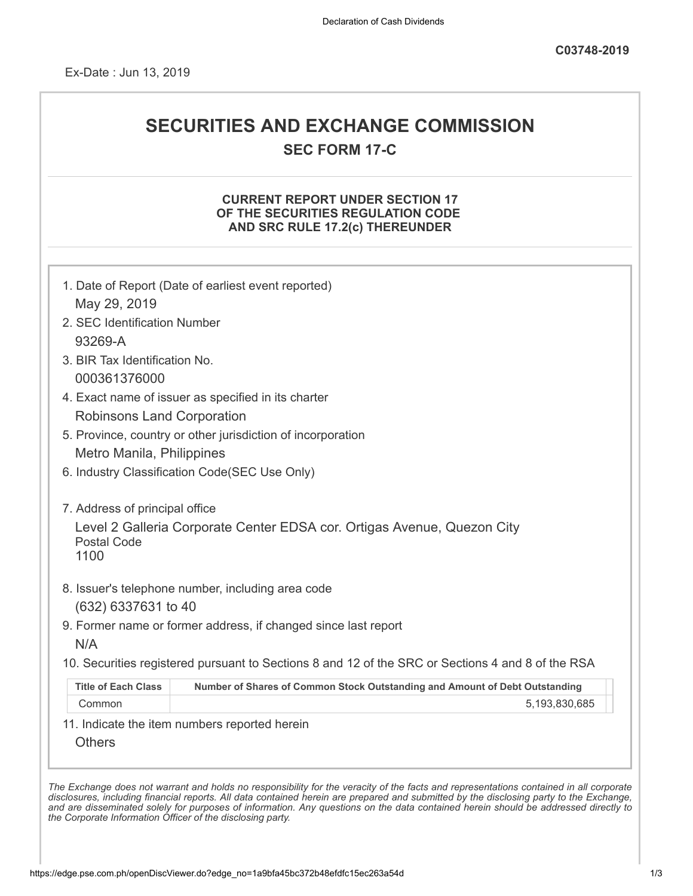Ex-Date : Jun 13, 2019

## **SECURITIES AND EXCHANGE COMMISSION**

**SEC FORM 17-C**

## **CURRENT REPORT UNDER SECTION 17 OF THE SECURITIES REGULATION CODE AND SRC RULE 17.2(c) THEREUNDER**

|                                   | 1. Date of Report (Date of earliest event reported)                                               |
|-----------------------------------|---------------------------------------------------------------------------------------------------|
| May 29, 2019                      |                                                                                                   |
| 2. SEC Identification Number      |                                                                                                   |
| 93269-A                           |                                                                                                   |
| 3. BIR Tax Identification No.     |                                                                                                   |
| 000361376000                      |                                                                                                   |
|                                   | 4. Exact name of issuer as specified in its charter                                               |
| <b>Robinsons Land Corporation</b> |                                                                                                   |
|                                   | 5. Province, country or other jurisdiction of incorporation                                       |
| Metro Manila, Philippines         |                                                                                                   |
|                                   | 6. Industry Classification Code(SEC Use Only)                                                     |
|                                   |                                                                                                   |
| 7. Address of principal office    |                                                                                                   |
| <b>Postal Code</b><br>1100        | Level 2 Galleria Corporate Center EDSA cor. Ortigas Avenue, Quezon City                           |
|                                   | 8. Issuer's telephone number, including area code                                                 |
| (632) 6337631 to 40               |                                                                                                   |
|                                   | 9. Former name or former address, if changed since last report                                    |
| N/A                               |                                                                                                   |
|                                   | 10. Securities registered pursuant to Sections 8 and 12 of the SRC or Sections 4 and 8 of the RSA |
| <b>Title of Each Class</b>        | Number of Shares of Common Stock Outstanding and Amount of Debt Outstanding                       |
| Common                            | 5,193,830,685                                                                                     |
|                                   | 11. Indicate the item numbers reported herein                                                     |
|                                   |                                                                                                   |

*and are disseminated solely for purposes of information. Any questions on the data contained herein should be addressed directly to*

*the Corporate Information Officer of the disclosing party.*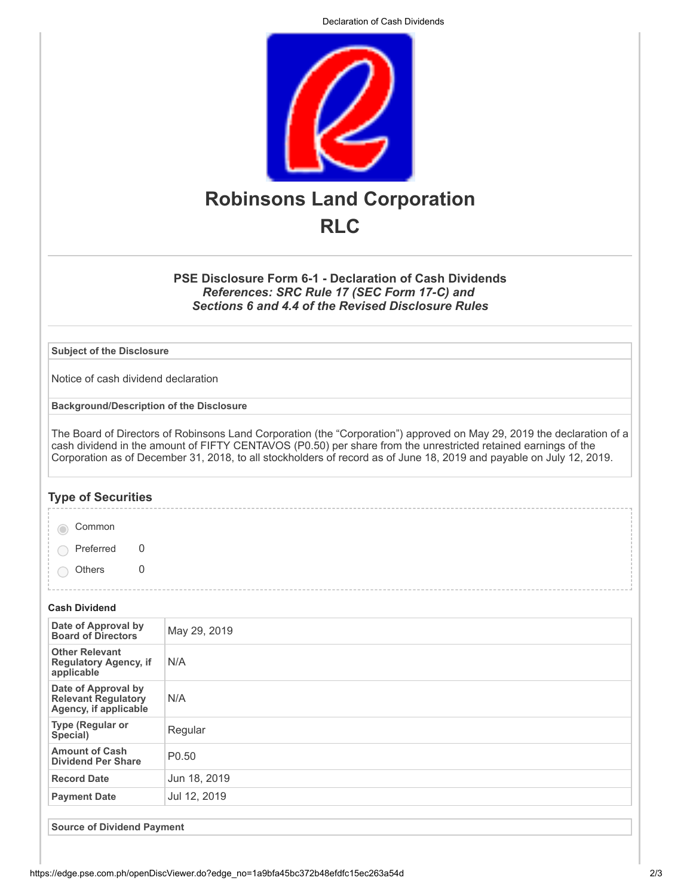Declaration of Cash Dividends